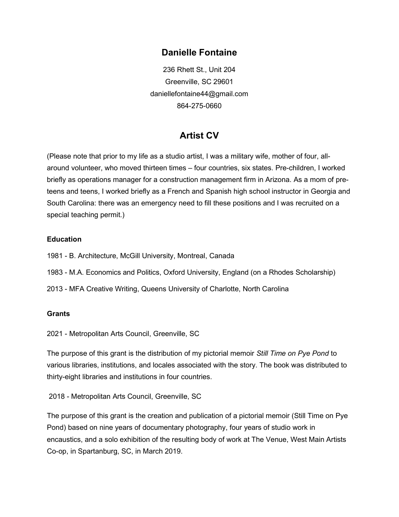## Danielle Fontaine

236 Rhett St., Unit 204 Greenville, SC 29601 daniellefontaine44@gmail.com 864-275-0660

# Artist CV

(Please note that prior to my life as a studio artist, I was a military wife, mother of four, allaround volunteer, who moved thirteen times – four countries, six states. Pre-children, I worked briefly as operations manager for a construction management firm in Arizona. As a mom of preteens and teens, I worked briefly as a French and Spanish high school instructor in Georgia and South Carolina: there was an emergency need to fill these positions and I was recruited on a special teaching permit.)

### **Education**

- 1981 B. Architecture, McGill University, Montreal, Canada
- 1983 M.A. Economics and Politics, Oxford University, England (on a Rhodes Scholarship)
- 2013 MFA Creative Writing, Queens University of Charlotte, North Carolina

### Grants

2021 - Metropolitan Arts Council, Greenville, SC

The purpose of this grant is the distribution of my pictorial memoir Still Time on Pye Pond to various libraries, institutions, and locales associated with the story. The book was distributed to thirty-eight libraries and institutions in four countries.

2018 - Metropolitan Arts Council, Greenville, SC

The purpose of this grant is the creation and publication of a pictorial memoir (Still Time on Pye Pond) based on nine years of documentary photography, four years of studio work in encaustics, and a solo exhibition of the resulting body of work at The Venue, West Main Artists Co-op, in Spartanburg, SC, in March 2019.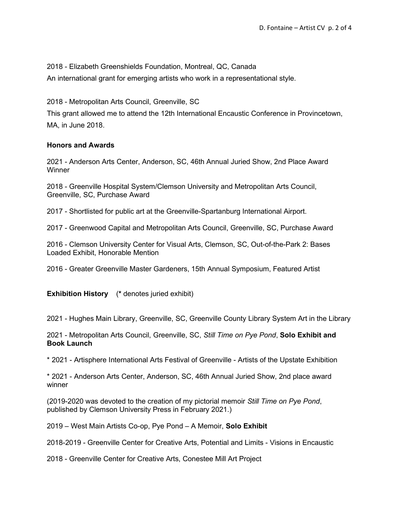2018 - Elizabeth Greenshields Foundation, Montreal, QC, Canada

An international grant for emerging artists who work in a representational style.

2018 - Metropolitan Arts Council, Greenville, SC

This grant allowed me to attend the 12th International Encaustic Conference in Provincetown, MA, in June 2018.

### Honors and Awards

2021 - Anderson Arts Center, Anderson, SC, 46th Annual Juried Show, 2nd Place Award **Winner** 

2018 - Greenville Hospital System/Clemson University and Metropolitan Arts Council, Greenville, SC, Purchase Award

2017 - Shortlisted for public art at the Greenville-Spartanburg International Airport.

2017 - Greenwood Capital and Metropolitan Arts Council, Greenville, SC, Purchase Award

2016 - Clemson University Center for Visual Arts, Clemson, SC, Out-of-the-Park 2: Bases Loaded Exhibit, Honorable Mention

2016 - Greater Greenville Master Gardeners, 15th Annual Symposium, Featured Artist

Exhibition History (\* denotes juried exhibit)

2021 - Hughes Main Library, Greenville, SC, Greenville County Library System Art in the Library

2021 - Metropolitan Arts Council, Greenville, SC, Still Time on Pye Pond, Solo Exhibit and Book Launch

\* 2021 - Artisphere International Arts Festival of Greenville - Artists of the Upstate Exhibition

\* 2021 - Anderson Arts Center, Anderson, SC, 46th Annual Juried Show, 2nd place award winner

(2019-2020 was devoted to the creation of my pictorial memoir Still Time on Pye Pond, published by Clemson University Press in February 2021.)

2019 – West Main Artists Co-op, Pye Pond – A Memoir, Solo Exhibit

2018-2019 - Greenville Center for Creative Arts, Potential and Limits - Visions in Encaustic

2018 - Greenville Center for Creative Arts, Conestee Mill Art Project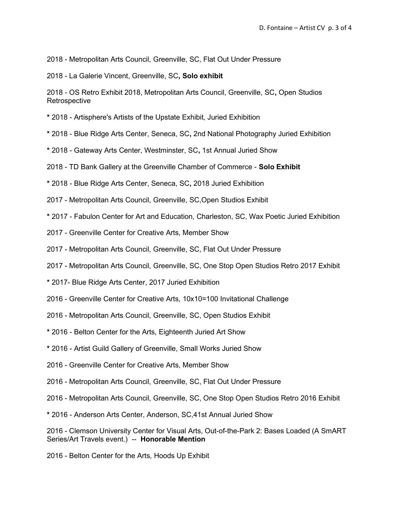2018 - Metropolitan Arts Council, Greenville, SC, Flat Out Under Pressure

2018 - La Galerie Vincent, Greenville, SC, Solo exhibit

2018 - OS Retro Exhibit 2018, Metropolitan Arts Council, Greenville, SC, Open Studios **Retrospective** 

\* 2018 - Artisphere's Artists of the Upstate Exhibit, Juried Exhibition

- \* 2018 Blue Ridge Arts Center, Seneca, SC, 2nd National Photography Juried Exhibition
- \* 2018 Gateway Arts Center, Westminster, SC, 1st Annual Juried Show

2018 - TD Bank Gallery at the Greenville Chamber of Commerce - Solo Exhibit

\* 2018 - Blue Ridge Arts Center, Seneca, SC, 2018 Juried Exhibition

2017 - Metropolitan Arts Council, Greenville, SC,Open Studios Exhibit

\* 2017 - Fabulon Center for Art and Education, Charleston, SC, Wax Poetic Juried Exhibition

- 2017 Greenville Center for Creative Arts, Member Show
- 2017 Metropolitan Arts Council, Greenville, SC, Flat Out Under Pressure
- 2017 Metropolitan Arts Council, Greenville, SC, One Stop Open Studios Retro 2017 Exhibit
- \* 2017- Blue Ridge Arts Center, 2017 Juried Exhibition
- 2016 Greenville Center for Creative Arts, 10x10=100 Invitational Challenge
- 2016 Metropolitan Arts Council, Greenville, SC, Open Studios Exhibit
- \* 2016 Belton Center for the Arts, Eighteenth Juried Art Show
- \* 2016 Artist Guild Gallery of Greenville, Small Works Juried Show
- 2016 Greenville Center for Creative Arts, Member Show
- 2016 Metropolitan Arts Council, Greenville, SC, Flat Out Under Pressure
- 2016 Metropolitan Arts Council, Greenville, SC, One Stop Open Studios Retro 2016 Exhibit
- \* 2016 Anderson Arts Center, Anderson, SC,41st Annual Juried Show

2016 - Clemson University Center for Visual Arts, Out-of-the-Park 2: Bases Loaded (A SmART Series/Art Travels event.) -- Honorable Mention

2016 - Belton Center for the Arts, Hoods Up Exhibit